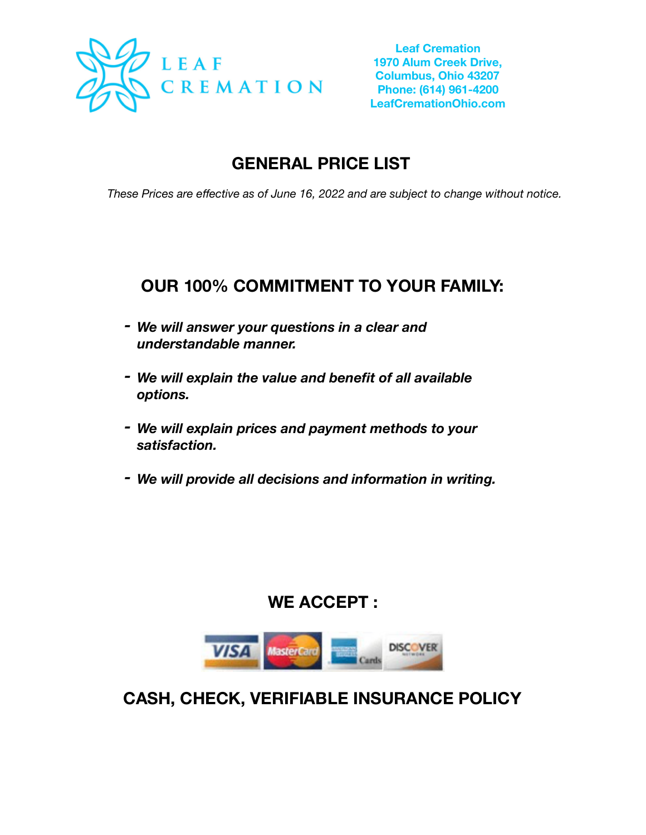

# **GENERAL PRICE LIST**

*These Prices are effective as of June 16, 2022 and are subject to change without notice.* 

## **OUR 100% COMMITMENT TO YOUR FAMILY:**

- *- We will answer your questions in a clear and understandable manner.*
- *- We will explain the value and benefit of all available options.*
- *- We will explain prices and payment methods to your satisfaction.*
- *- We will provide all decisions and information in writing.*

## **WE ACCEPT :**



**CASH, CHECK, VERIFIABLE INSURANCE POLICY**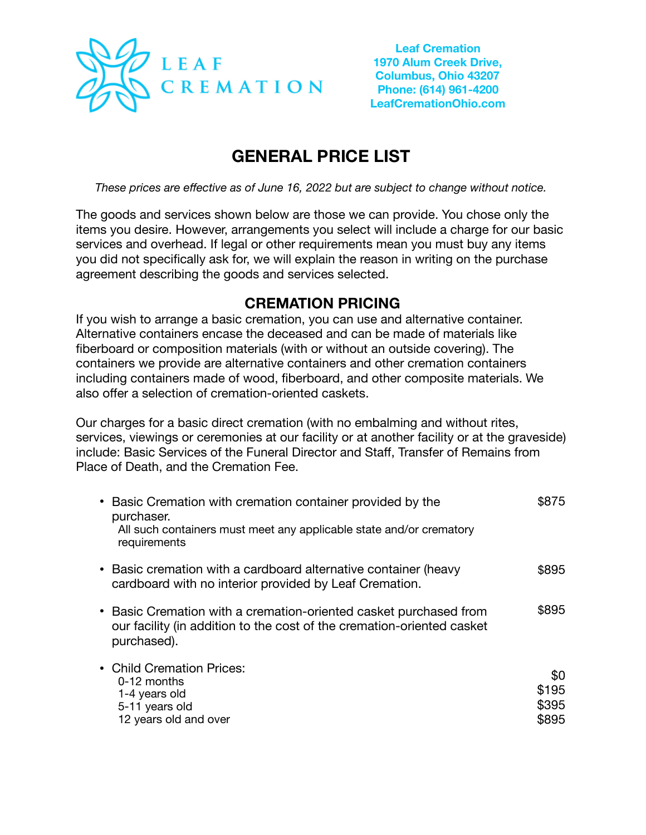

# **GENERAL PRICE LIST**

*These prices are effective as of June 16, 2022 but are subject to change without notice.* 

The goods and services shown below are those we can provide. You chose only the items you desire. However, arrangements you select will include a charge for our basic services and overhead. If legal or other requirements mean you must buy any items you did not specifically ask for, we will explain the reason in writing on the purchase agreement describing the goods and services selected.

#### **CREMATION PRICING**

If you wish to arrange a basic cremation, you can use and alternative container. Alternative containers encase the deceased and can be made of materials like fiberboard or composition materials (with or without an outside covering). The containers we provide are alternative containers and other cremation containers including containers made of wood, fiberboard, and other composite materials. We also offer a selection of cremation-oriented caskets.

Our charges for a basic direct cremation (with no embalming and without rites, services, viewings or ceremonies at our facility or at another facility or at the graveside) include: Basic Services of the Funeral Director and Staff, Transfer of Remains from Place of Death, and the Cremation Fee.

| • Basic Cremation with cremation container provided by the<br>purchaser.<br>All such containers must meet any applicable state and/or crematory<br>requirements | \$875                          |
|-----------------------------------------------------------------------------------------------------------------------------------------------------------------|--------------------------------|
| • Basic cremation with a cardboard alternative container (heavy<br>cardboard with no interior provided by Leaf Cremation.                                       | \$895                          |
| • Basic Cremation with a cremation-oriented casket purchased from<br>our facility (in addition to the cost of the cremation-oriented casket<br>purchased).      | \$895                          |
| • Child Cremation Prices:<br>$0-12$ months<br>1-4 years old<br>5-11 years old<br>12 years old and over                                                          | \$0<br>\$195<br>\$395<br>\$895 |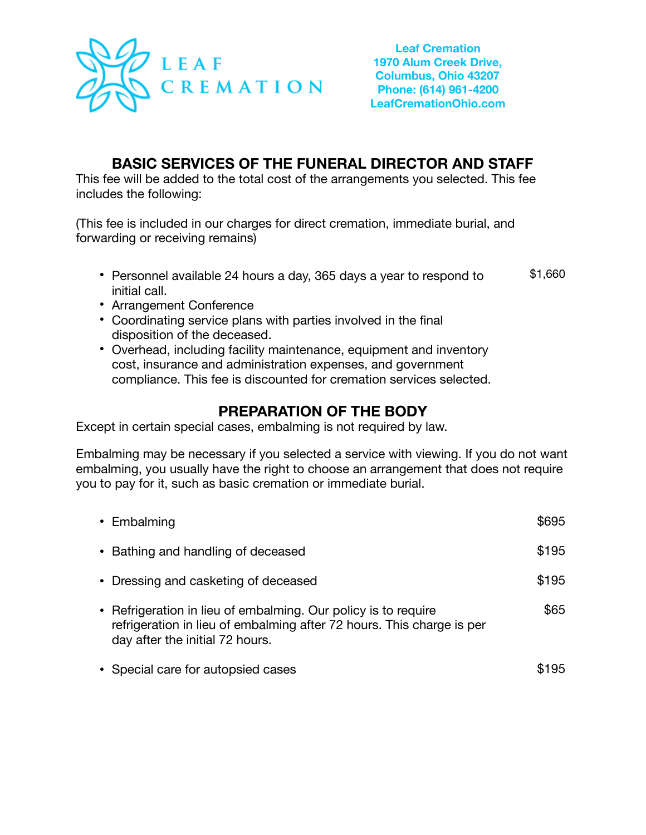

## **BASIC SERVICES OF THE FUNERAL DIRECTOR AND STAFF**

This fee will be added to the total cost of the arrangements you selected. This fee includes the following:

(This fee is included in our charges for direct cremation, immediate burial, and forwarding or receiving remains)

- **•** Personnel available 24 hours a day, 365 days a year to respond to initial call. \$1,660
- **•** Arrangement Conference
- **•** Coordinating service plans with parties involved in the final disposition of the deceased.
- **•** Overhead, including facility maintenance, equipment and inventory cost, insurance and administration expenses, and government compliance. This fee is discounted for cremation services selected.

## **PREPARATION OF THE BODY**

Except in certain special cases, embalming is not required by law.

Embalming may be necessary if you selected a service with viewing. If you do not want embalming, you usually have the right to choose an arrangement that does not require you to pay for it, such as basic cremation or immediate burial.

| • Embalming                                                                                                                                                                | \$695 |
|----------------------------------------------------------------------------------------------------------------------------------------------------------------------------|-------|
| • Bathing and handling of deceased                                                                                                                                         | \$195 |
| • Dressing and casketing of deceased                                                                                                                                       | \$195 |
| • Refrigeration in lieu of embalming. Our policy is to require<br>refrigeration in lieu of embalming after 72 hours. This charge is per<br>day after the initial 72 hours. | \$65  |
| • Special care for autopsied cases                                                                                                                                         | 95    |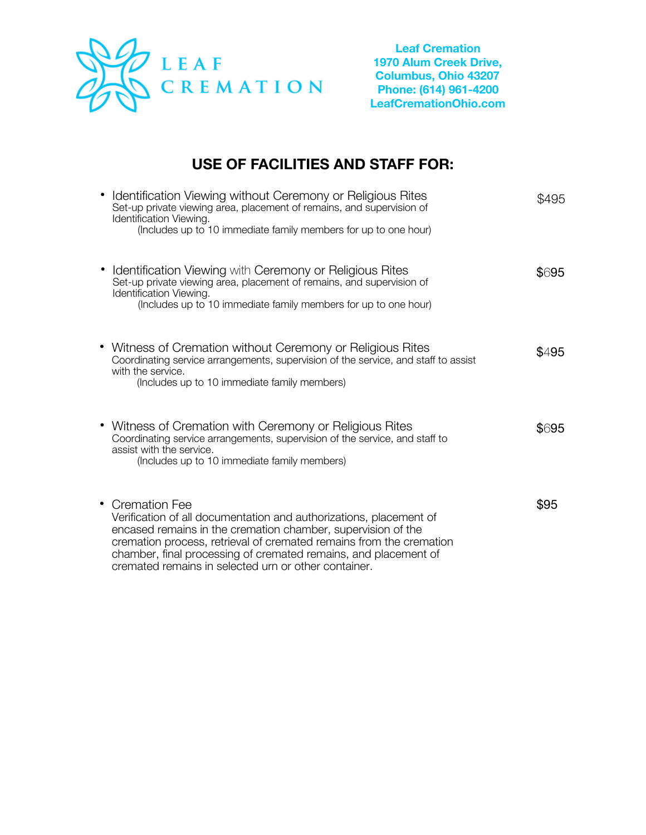

## **USE OF FACILITIES AND STAFF FOR:**

| Identification Viewing without Ceremony or Religious Rites<br>Set-up private viewing area, placement of remains, and supervision of<br>Identification Viewing.<br>(Includes up to 10 immediate family members for up to one hour)                                                                                                                       | \$495 |
|---------------------------------------------------------------------------------------------------------------------------------------------------------------------------------------------------------------------------------------------------------------------------------------------------------------------------------------------------------|-------|
| • Identification Viewing with Ceremony or Religious Rites<br>Set-up private viewing area, placement of remains, and supervision of<br>Identification Viewing.<br>(Includes up to 10 immediate family members for up to one hour)                                                                                                                        | \$695 |
| • Witness of Cremation without Ceremony or Religious Rites<br>Coordinating service arrangements, supervision of the service, and staff to assist<br>with the service.<br>(Includes up to 10 immediate family members)                                                                                                                                   | \$495 |
| • Witness of Cremation with Ceremony or Religious Rites<br>Coordinating service arrangements, supervision of the service, and staff to<br>assist with the service.<br>(Includes up to 10 immediate family members)                                                                                                                                      | \$695 |
| • Cremation Fee<br>Verification of all documentation and authorizations, placement of<br>encased remains in the cremation chamber, supervision of the<br>cremation process, retrieval of cremated remains from the cremation<br>chamber, final processing of cremated remains, and placement of<br>cremated remains in selected urn or other container. | \$95  |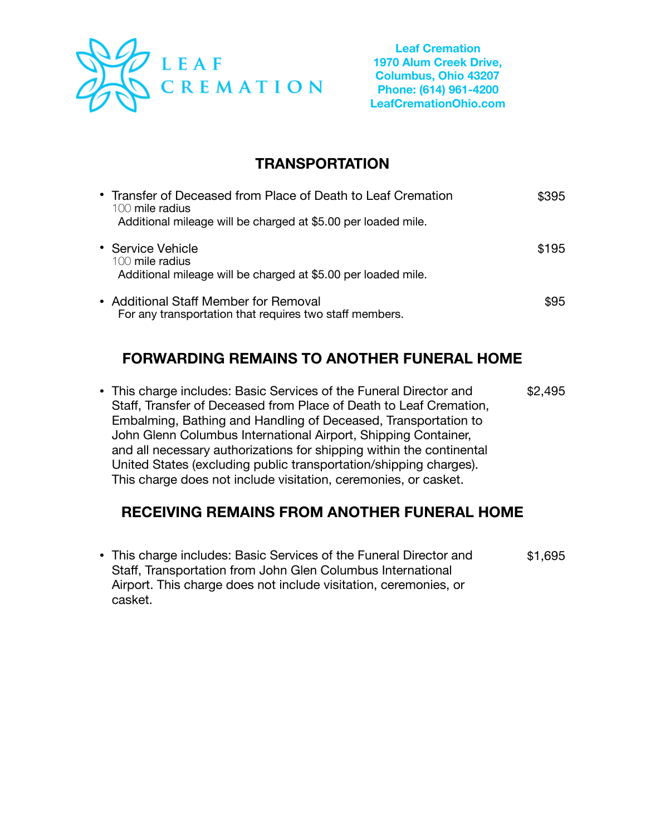

## **TRANSPORTATION**

| • Transfer of Deceased from Place of Death to Leaf Cremation<br>$100$ mile radius<br>Additional mileage will be charged at \$5.00 per loaded mile. | \$395 |
|----------------------------------------------------------------------------------------------------------------------------------------------------|-------|
| • Service Vehicle<br>100 mile radius<br>Additional mileage will be charged at \$5.00 per loaded mile.                                              | \$195 |
| • Additional Staff Member for Removal<br>For any transportation that requires two staff members.                                                   | \$95  |

## **FORWARDING REMAINS TO ANOTHER FUNERAL HOME**

• This charge includes: Basic Services of the Funeral Director and Staff, Transfer of Deceased from Place of Death to Leaf Cremation, Embalming, Bathing and Handling of Deceased, Transportation to John Glenn Columbus International Airport, Shipping Container, and all necessary authorizations for shipping within the continental United States (excluding public transportation/shipping charges). This charge does not include visitation, ceremonies, or casket. \$2,495

#### **RECEIVING REMAINS FROM ANOTHER FUNERAL HOME**

• This charge includes: Basic Services of the Funeral Director and Staff, Transportation from John Glen Columbus International Airport. This charge does not include visitation, ceremonies, or casket. \$1,695